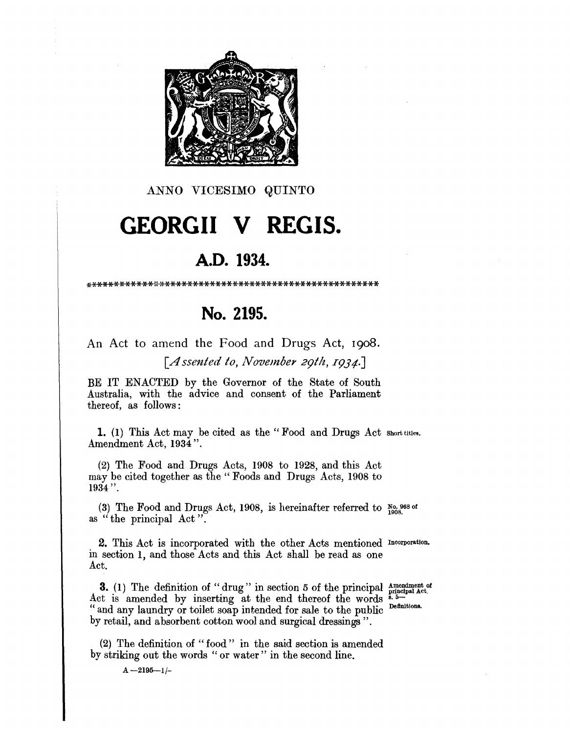

ANNO VICESIMO QUINTO

# **GEORGII V REGIS.**

## A.D. 1934.

### No. 2195.

An Act to amend the Food and Drugs Act, 1908. [Assented to, November 29th, 1934.]

BE IT ENACTED by the Governor of the State of South Australia, with the advice and consent of the Parliament thereof, as follows:

1. (1) This Act may be cited as the "Food and Drugs Act short titles. Amendment Act, 1934".

(2) The Food and Drugs Acts, 1908 to 1928, and this Act may be cited together as the "Foods and Drugs Acts, 1908 to  $1934$ ".

(3) The Food and Drugs Act, 1908, is hereinafter referred to  $\frac{No. 968 \text{ of}}{1908}$ as "the principal Act".

2. This Act is incorporated with the other Acts mentioned Incorporation. in section 1, and those Acts and this Act shall be read as one Act.

**3.** (1) The definition of "drug" in section 5 of the principal  $\frac{1}{\text{principal det}}$  at Act is amended by inserting at the end thereof the words  $\frac{1}{n}$ . " and any laundry or toilet soap intended for sale to the public Definitions. by retail, and absorbent cotton wool and surgical dressings".

(2) The definition of "food" in the said section is amended by striking out the words "or water" in the second line.

 $A - 2195 - 1/$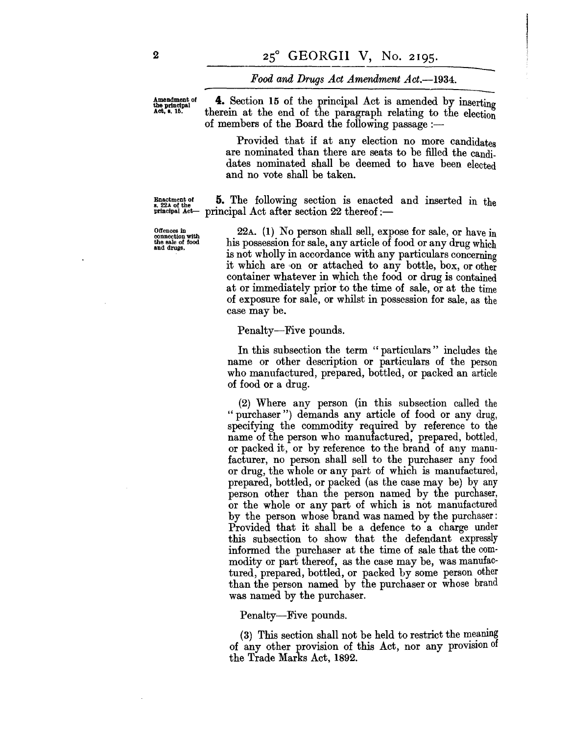#### *Food and Drugs Act Amendment Act.*—1934.

Amendment of 4. Section 15 of the principal Act is amended by inserting<br>Act, s. 15. therein at the end of the paragraph relating to the election therein at the end of the paragraph relating to the election of members of the Board the following passage: $-$ 

> Provided that if at any election no more candidates are nominated than there are seats to be filled the candidates nominated shall be deemed to have been elected and no vote shall be taken.

Enactment of  $\frac{5}{5}$ . The following section is enacted and inserted in the Enactment of  $\begin{array}{ll} \texttt{Bnactment} \ \texttt{of} \ \texttt{s. 22A} \ \texttt{of the} \ \texttt{principal Act} \ \texttt{Act} \ \texttt{after section 22 thereof}: \ \end{array}$ 

Offences In connection with the sale of food and drugs.

22A. (1) No person shall sell, expose for sale, or have in his possession for sale, any article of food or any drug which is not wholly in accordance with any particulars concerning it which are 'on or attached to any bottle, box, or other container whatever in which the food or drug is contained at or immediately prior to the time of sale, or at the time of exposure for sale, or whilst in possession for sale, as the case may be.

Penalty—Five pounds.

In this subsection the term " particulars" includes the name or other description or particulars of the person who manufactured, prepared, bottled, or packed an article of food or a drug.

(2) Where any person (in this subsection called the "purchaser") demands any article of food or any drug, specifying the commodity required by reference to the name of the person who manufactured, prepared, bottled, or packed it, or by reference to the brand of any manufacturer, no person shall sell to the purchaser any food or drug, the whole or any part of which is manufactured, prepared, bottled, or packed (as the case may be) by any person other than the person named by the purchaser, or the whole or any part of which is not manufactured by the person whose brand was named by the purchaser: Provided that it shall be a defence to a charge under this subsection to show that the defendant expressly informed the purchaser at the time of sale that the commodity or part thereof, as the case may be, was manufactured, prepared, bottled, or packed by some person other than the person named by the purchaser or whose brand was named by the purchaser.

Penalty—Five pounds.

 $(3)$  This section shall not be held to restrict the meaning of any other provision of this Act, nor any provision of the Trade Marks Act, 1892.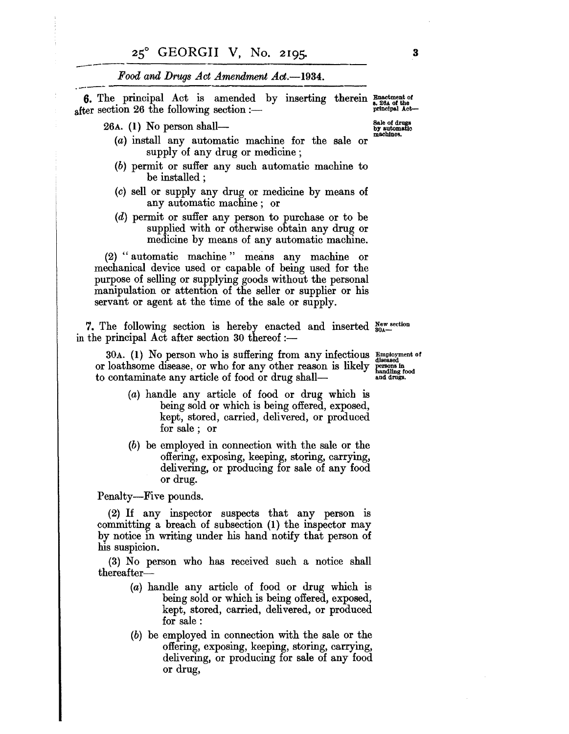#### Food and Drugs Act Amendment Act.--1934.

r vou una Drugs Act Amenument Act .--1354. **6.** The principal Act is amended by inserting therein  $\frac{F_{\text{na}}}{s}$ .  $\frac{26.4 \text{ of the}}{p}$  after section 26 the following section :-

26A. (1) No person shall-<br> $\begin{array}{ccc}\n & \text{Sale of drugs} \\
\hline\n\text{by automatic} \\
\text{in} \\
\text{mechines}\n\end{array}$ 

 $(a)$  install any automatic machine for the sale or supply of any drug or medicine;

- (b) permit or suffer any such automatic machine to be installed :
- (c) sell or supply any drug or medicine by means of any automatic machine; or
- (d) permit or suffer any person to purchase or to be supplied with or otherwise obtain any drug or medicine by means of any automatic machine.

(2) "automatic machine" means any machine or mechanical device used or capable of being used for the purpose of selling or supplying goods without the personal manipulation or attention of the seller or supplier or his servant or agent at the time of the sale or supply.

7. The following section is hereby enacted and inserted  $S_{\text{0a}}^{\text{new section}}$ in the principal Act after section 30 thereof :-

30A. (1) No person who is suffering from any infectious  $\frac{\text{Emboyment of}}{\text{dissased}}$  loathsome disease, or who for any other reason is likely  $\frac{\text{persons in}}{\text{handing food}}$  contaminate any article of food or drug shall or loathsome disease, or who for any other reason is likely to contaminate any article of food or drug shall-

- (a) handle any article of food or drug which is being sold or which is being offered, exposed, kept, stored, carried, delivered, or produced for sale; or
- (b) be employed in connection with the sale or the offering, exposing, keeping, storing, carrying, delivering, or producing for sale of any food or drug.

Penalty-Five pounds.

(2) If any inspector suspects that any person is committing a breach of subsection (I) the inspector may by notice in writing under his hand notify that person of his suspicion.

(3) No person who has received such a notice shall  ${\rm thereafter}-$ 

- (a) handle any article of food or drug which is being sold or which is being offered, exposed, kept, stored, carried, delivered, or produced for sale:
- (b) be employed in connection with the sale or the offering, exposing, keeping, storing, carrying, delivering, or producing for sale of any food or drug,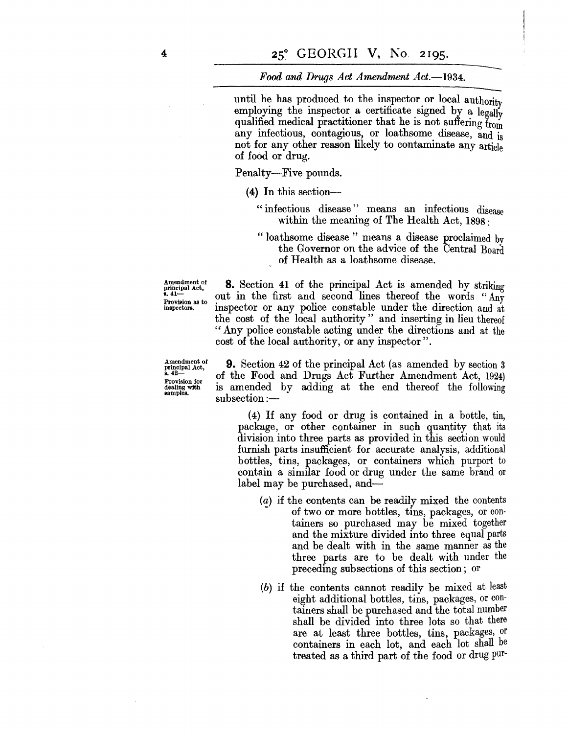#### *Food and Drugs Act Amendment Act.*-1934.

until he has produced to the inspector or local authority employing the inspector a certificate signed by a legally qualified medical practitioner that he is not suffering from any infectious, contagious, or loathsome disease, and is not for any other reason likely to contaminate any article of food or drug.

Penalty-Five pounds.

- (4) In this section-
	- "infectious disease" means an infectious disease within the meaning of The Health Act, 1898:
	- " loathsome disease" means a disease proclaimed bv the Governor on the advice of the Central Board of Health as a loathsome disease.

Amendment of principal Act,<br>s. 41— Provision as to<br>inspectors.

Amendment of principal Act, s.42- Provision for dealing with aamples.

 $subsection :=$ 

" Any police constable acting under the directions and at the cost of the local authority, or any inspector". 9. Section 42 of the principal Act (as amended by section 3 of the Food and Drugs Act Further Amendment Act, 1924) is amended by adding at the end thereof the following

8. Section 41 of the principal Act is amended by striking out in the first and second lines thereof the words "Any inspector or any police constable under the direction and at the cost of the local authority" and inserting in lieu thereof

(4) If any food or drug is contained in a bottle, tin, package, or other container in such quantity that its division into three parts as provided in this section would furnish parts insufficient for accurate analysis, additional bottles, tins, packages, or containers which purport to contain a similar food or drug under the same brand or label may be purchased, and-

- (a) if the contents can be readily mixed the contents of two or more bottles, tins, packages, or containers so purchased may be mixed together and the mixture divided into three equal parts and be dealt with in the same manner as the three parts are to be dealt with under the preceding subsections of this section; or
- (b) if the contents cannot readily be mixed at least eight additional bottles, tins, packages, or containers shall be purchased and the total number shall be divided into three lots so that there are at least three bottles, tins, packages, or containers in each lot, and each lot shall be treated as a third part of the food or drug pur-